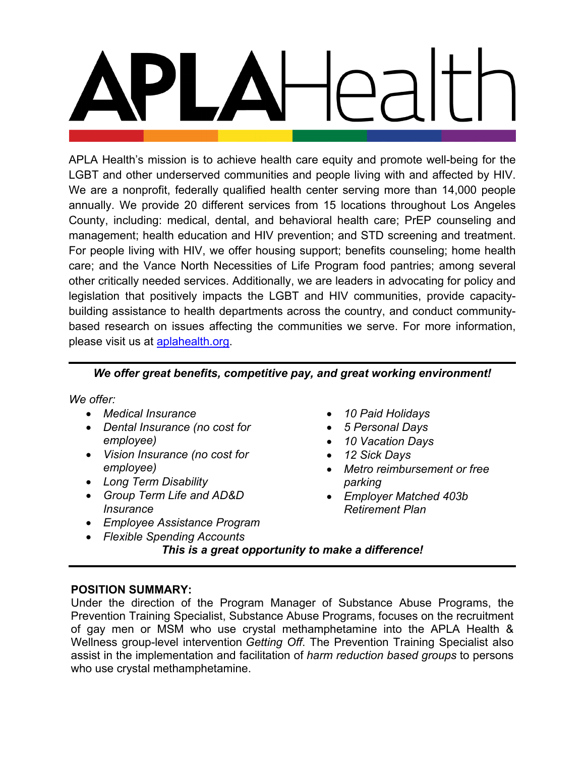APLA Health's mission is to achieve health care equity and promote well-being for the LGBT and other underserved communities and people living with and affected by HIV. We are a nonprofit, federally qualified health center serving more than 14,000 people annually. We provide 20 different services from 15 locations throughout Los Angeles County, including: medical, dental, and behavioral health care; PrEP counseling and management; health education and HIV prevention; and STD screening and treatment. For people living with HIV, we offer housing support; benefits counseling; home health care; and the Vance North Necessities of Life Program food pantries; among several other critically needed services. Additionally, we are leaders in advocating for policy and legislation that positively impacts the LGBT and HIV communities, provide capacitybuilding assistance to health departments across the country, and conduct communitybased research on issues affecting the communities we serve. For more information, please visit us at **aplahealth.org**.

# *We offer great benefits, competitive pay, and great working environment!*

*We offer:*

- *Medical Insurance*
- *Dental Insurance (no cost for employee)*
- *Vision Insurance (no cost for employee)*
- *Long Term Disability*
- *Group Term Life and AD&D Insurance*
- *Employee Assistance Program*
- *Flexible Spending Accounts*
- *10 Paid Holidays*
- *5 Personal Days*
- *10 Vacation Days*
- *12 Sick Days*
- *Metro reimbursement or free parking*
- *Employer Matched 403b Retirement Plan*

*This is a great opportunity to make a difference!*

### **POSITION SUMMARY:**

Under the direction of the Program Manager of Substance Abuse Programs, the Prevention Training Specialist, Substance Abuse Programs, focuses on the recruitment of gay men or MSM who use crystal methamphetamine into the APLA Health & Wellness group-level intervention *Getting Off*. The Prevention Training Specialist also assist in the implementation and facilitation of *harm reduction based groups* to persons who use crystal methamphetamine.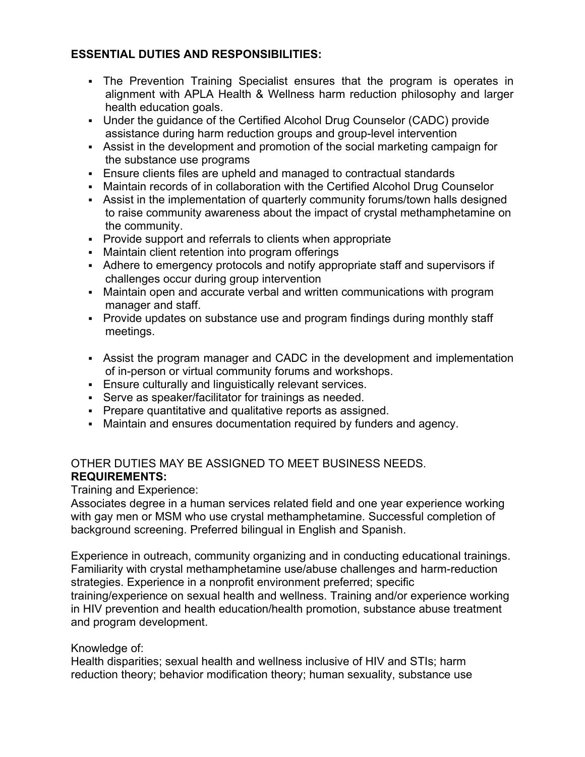## **ESSENTIAL DUTIES AND RESPONSIBILITIES:**

- The Prevention Training Specialist ensures that the program is operates in alignment with APLA Health & Wellness harm reduction philosophy and larger health education goals.
- Under the guidance of the Certified Alcohol Drug Counselor (CADC) provide assistance during harm reduction groups and group-level intervention
- Assist in the development and promotion of the social marketing campaign for the substance use programs
- Ensure clients files are upheld and managed to contractual standards
- Maintain records of in collaboration with the Certified Alcohol Drug Counselor
- Assist in the implementation of quarterly community forums/town halls designed to raise community awareness about the impact of crystal methamphetamine on the community.
- Provide support and referrals to clients when appropriate
- Maintain client retention into program offerings
- Adhere to emergency protocols and notify appropriate staff and supervisors if challenges occur during group intervention
- Maintain open and accurate verbal and written communications with program manager and staff.
- Provide updates on substance use and program findings during monthly staff meetings.
- Assist the program manager and CADC in the development and implementation of in-person or virtual community forums and workshops.
- Ensure culturally and linguistically relevant services.
- Serve as speaker/facilitator for trainings as needed.
- Prepare quantitative and qualitative reports as assigned.
- Maintain and ensures documentation required by funders and agency.

## OTHER DUTIES MAY BE ASSIGNED TO MEET BUSINESS NEEDS. **REQUIREMENTS:**

Training and Experience:

Associates degree in a human services related field and one year experience working with gay men or MSM who use crystal methamphetamine. Successful completion of background screening. Preferred bilingual in English and Spanish.

Experience in outreach, community organizing and in conducting educational trainings. Familiarity with crystal methamphetamine use/abuse challenges and harm-reduction strategies. Experience in a nonprofit environment preferred; specific training/experience on sexual health and wellness. Training and/or experience working in HIV prevention and health education/health promotion, substance abuse treatment and program development.

### Knowledge of:

Health disparities; sexual health and wellness inclusive of HIV and STIs; harm reduction theory; behavior modification theory; human sexuality, substance use